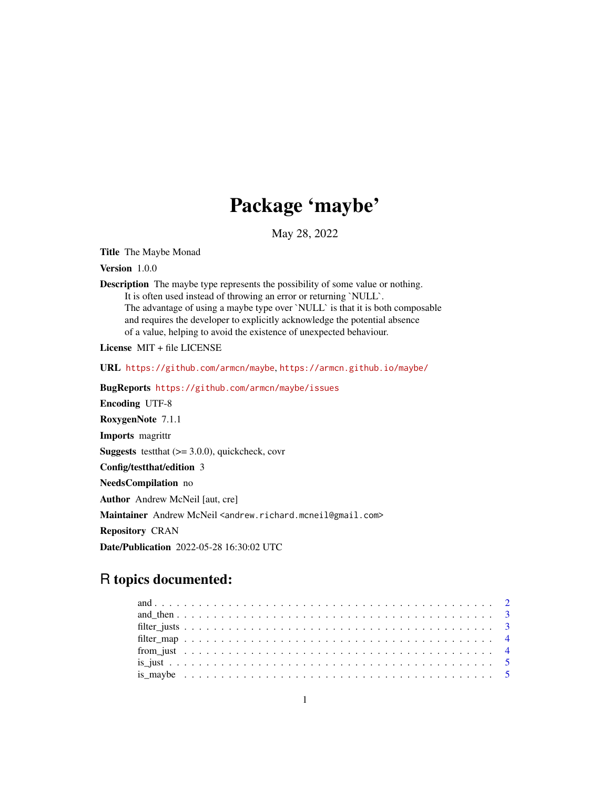## Package 'maybe'

May 28, 2022

Title The Maybe Monad

Version 1.0.0

Description The maybe type represents the possibility of some value or nothing. It is often used instead of throwing an error or returning `NULL`. The advantage of using a maybe type over `NULL` is that it is both composable and requires the developer to explicitly acknowledge the potential absence of a value, helping to avoid the existence of unexpected behaviour.

License MIT + file LICENSE

URL <https://github.com/armcn/maybe>, <https://armcn.github.io/maybe/>

BugReports <https://github.com/armcn/maybe/issues>

Encoding UTF-8 RoxygenNote 7.1.1

Imports magrittr

**Suggests** test that  $(>= 3.0.0)$ , quickcheck, covr

Config/testthat/edition 3

NeedsCompilation no

Author Andrew McNeil [aut, cre]

Maintainer Andrew McNeil <andrew.richard.mcneil@gmail.com>

Repository CRAN

Date/Publication 2022-05-28 16:30:02 UTC

## R topics documented: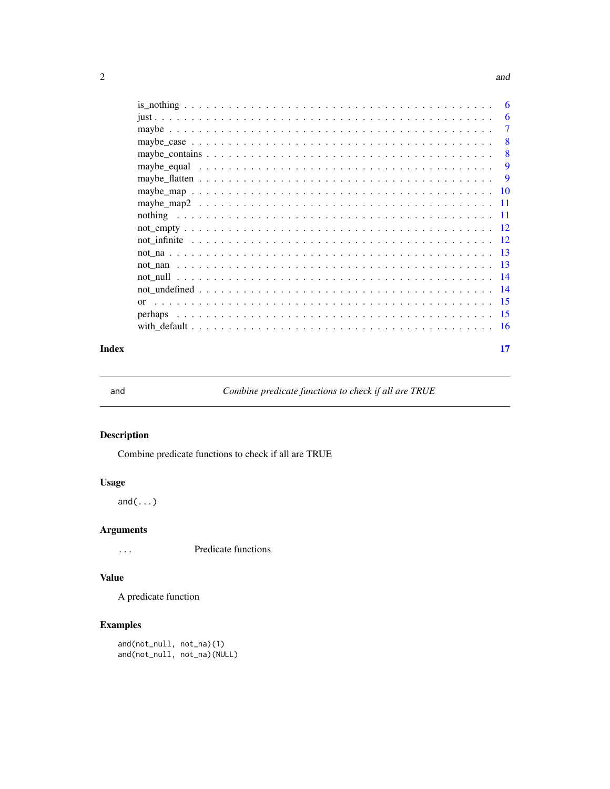#### <span id="page-1-0"></span> $2 \times 2$

|            |      | 6     |
|------------|------|-------|
|            |      | 6     |
|            |      | 7     |
|            |      | 8     |
|            |      | 8     |
|            |      | 9     |
|            |      | 9     |
|            |      | -10   |
|            |      | -11   |
|            |      | -11   |
|            |      |       |
|            |      |       |
|            | - 13 |       |
|            | - 13 |       |
|            |      |       |
|            |      | - 14  |
| $\alpha$ r |      | $-15$ |
|            |      | -15   |
|            |      | - 16  |
|            |      |       |

#### **Index** [17](#page-16-0)

and *Combine predicate functions to check if all are TRUE*

## Description

Combine predicate functions to check if all are TRUE

## Usage

and(...)

#### Arguments

... Predicate functions

## Value

A predicate function

## Examples

and(not\_null, not\_na)(1) and(not\_null, not\_na)(NULL)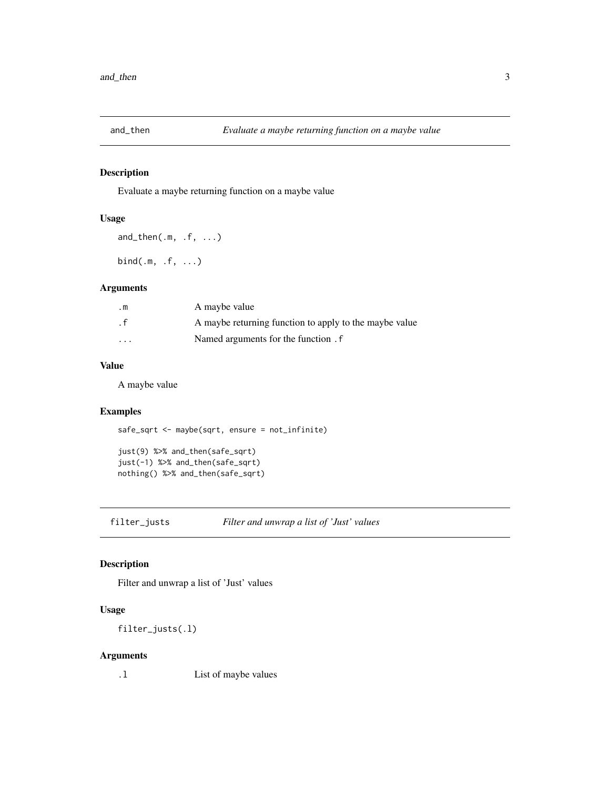<span id="page-2-0"></span>

Evaluate a maybe returning function on a maybe value

### Usage

and\_then(.m, .f, ...) bind(.m, .f, ...)

#### Arguments

| $\cdot$ m | A maybe value                                          |
|-----------|--------------------------------------------------------|
| . f       | A maybe returning function to apply to the maybe value |
| $\cdots$  | Named arguments for the function. f                    |

#### Value

A maybe value

#### Examples

```
safe_sqrt <- maybe(sqrt, ensure = not_infinite)
```

```
just(9) %>% and_then(safe_sqrt)
just(-1) %>% and_then(safe_sqrt)
nothing() %>% and_then(safe_sqrt)
```
filter\_justs *Filter and unwrap a list of 'Just' values*

## Description

Filter and unwrap a list of 'Just' values

#### Usage

filter\_justs(.l)

#### Arguments

.l List of maybe values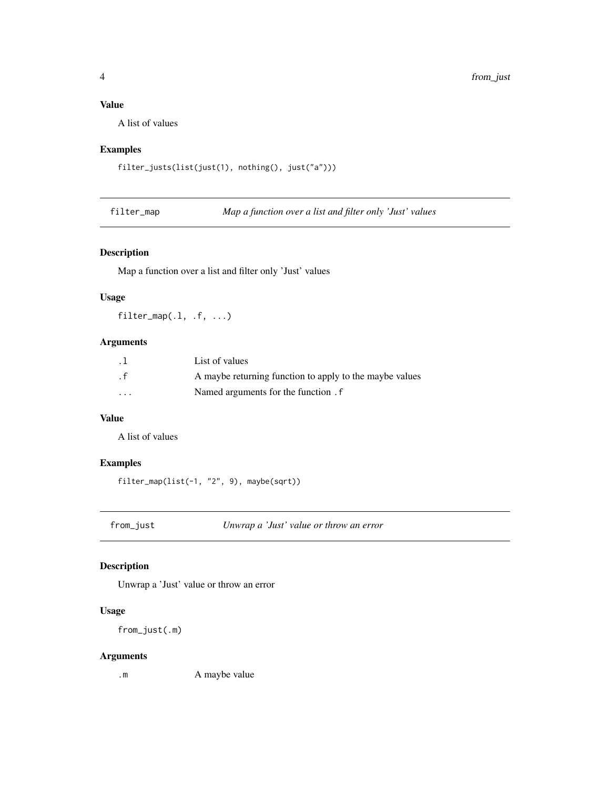## <span id="page-3-0"></span>Value

A list of values

#### Examples

```
filter_justs(list(just(1), nothing(), just("a")))
```
filter\_map *Map a function over a list and filter only 'Just' values*

#### Description

Map a function over a list and filter only 'Just' values

#### Usage

filter\_map(.l, .f, ...)

#### Arguments

| . 1      | List of values                                          |
|----------|---------------------------------------------------------|
| . f      | A maybe returning function to apply to the maybe values |
| $\cdots$ | Named arguments for the function . f                    |

#### Value

A list of values

#### Examples

filter\_map(list(-1, "2", 9), maybe(sqrt))

from\_just *Unwrap a 'Just' value or throw an error*

#### Description

Unwrap a 'Just' value or throw an error

#### Usage

from\_just(.m)

#### Arguments

.m A maybe value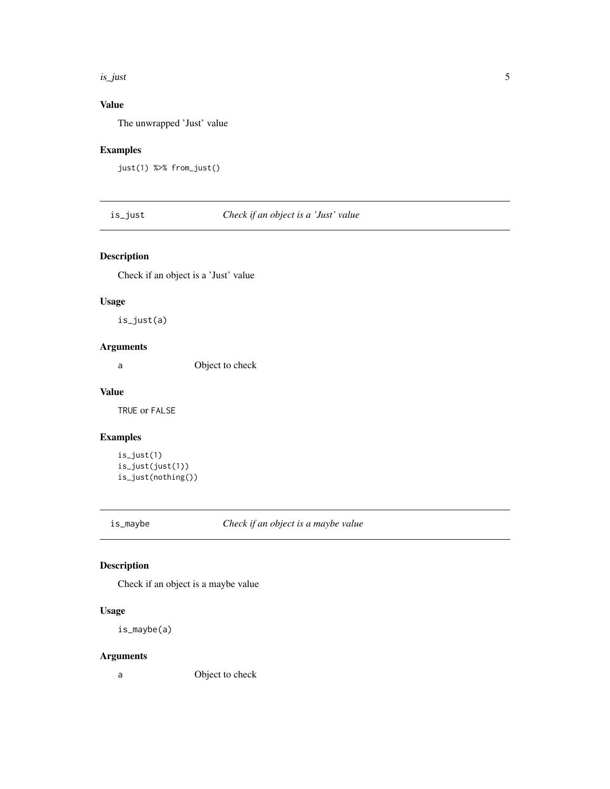#### <span id="page-4-0"></span>is\_just 5

## Value

The unwrapped 'Just' value

#### Examples

```
just(1) %>% from_just()
```
is\_just *Check if an object is a 'Just' value*

## Description

Check if an object is a 'Just' value

## Usage

is\_just(a)

## Arguments

a Object to check

## Value

TRUE or FALSE

#### Examples

```
is_just(1)
is_just(just(1))
is_just(nothing())
```
is\_maybe *Check if an object is a maybe value*

## Description

Check if an object is a maybe value

#### Usage

is\_maybe(a)

#### Arguments

a Object to check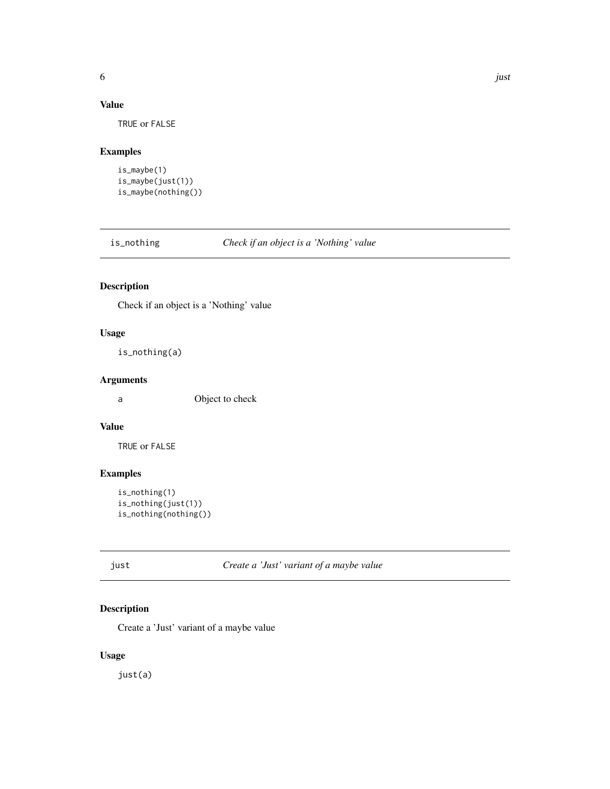## <span id="page-5-0"></span>Value

TRUE or FALSE

## Examples

```
is_maybe(1)
is_maybe(just(1))
is_maybe(nothing())
```
is\_nothing *Check if an object is a 'Nothing' value*

## Description

Check if an object is a 'Nothing' value

## Usage

is\_nothing(a)

#### Arguments

a Object to check

#### Value

TRUE or FALSE

#### Examples

```
is_nothing(1)
is_nothing(just(1))
is_nothing(nothing())
```
just *Create a 'Just' variant of a maybe value*

## Description

Create a 'Just' variant of a maybe value

## Usage

just(a)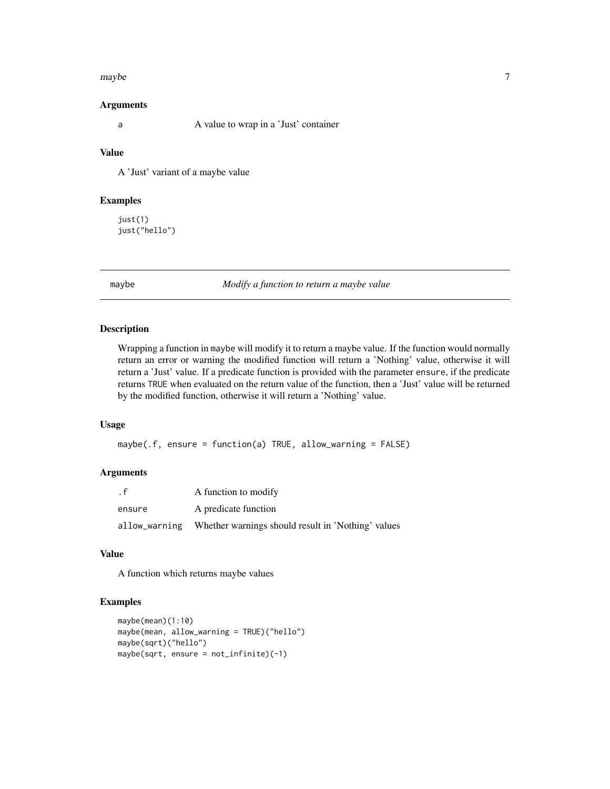#### <span id="page-6-0"></span>maybe 7 and 2008 and 2008 and 2008 and 2008 and 2008 and 2008 and 2008 and 2008 and 2008 and 2008 and 2008 and 2008 and 2008 and 2008 and 2008 and 2008 and 2008 and 2008 and 2008 and 2008 and 2008 and 2008 and 2008 and 200

#### Arguments

a A value to wrap in a 'Just' container

## Value

A 'Just' variant of a maybe value

#### Examples

just(1) just("hello")

maybe *Modify a function to return a maybe value*

#### Description

Wrapping a function in maybe will modify it to return a maybe value. If the function would normally return an error or warning the modified function will return a 'Nothing' value, otherwise it will return a 'Just' value. If a predicate function is provided with the parameter ensure, if the predicate returns TRUE when evaluated on the return value of the function, then a 'Just' value will be returned by the modified function, otherwise it will return a 'Nothing' value.

#### Usage

```
maybe(.f, ensure = function(a) TRUE, allow_warning = FALSE)
```
#### Arguments

| . f           | A function to modify                               |
|---------------|----------------------------------------------------|
| ensure        | A predicate function                               |
| allow_warning | Whether warnings should result in 'Nothing' values |

## Value

A function which returns maybe values

#### Examples

```
maybe(mean)(1:10)
maybe(mean, allow_warning = TRUE)("hello")
maybe(sqrt)("hello")
maybe(sqrt, ensure = not_infinite)(-1)
```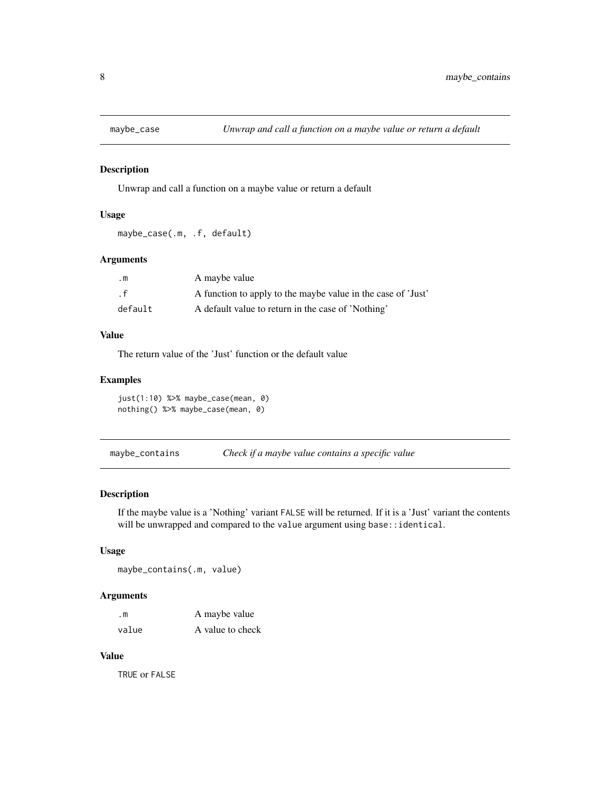<span id="page-7-0"></span>

Unwrap and call a function on a maybe value or return a default

#### Usage

```
maybe_case(.m, .f, default)
```
#### Arguments

| $\cdot$ m | A maybe value                                                |
|-----------|--------------------------------------------------------------|
| . f       | A function to apply to the maybe value in the case of 'Just' |
| default   | A default value to return in the case of 'Nothing'           |

## Value

The return value of the 'Just' function or the default value

#### Examples

just(1:10) %>% maybe\_case(mean, 0) nothing() %>% maybe\_case(mean, 0)

| maybe_contains |  |  | Check if a maybe value contains a specific value |
|----------------|--|--|--------------------------------------------------|
|                |  |  |                                                  |

## Description

If the maybe value is a 'Nothing' variant FALSE will be returned. If it is a 'Just' variant the contents will be unwrapped and compared to the value argument using base::identical.

#### Usage

maybe\_contains(.m, value)

#### Arguments

| $\cdot$ m | A maybe value    |
|-----------|------------------|
| value     | A value to check |

#### Value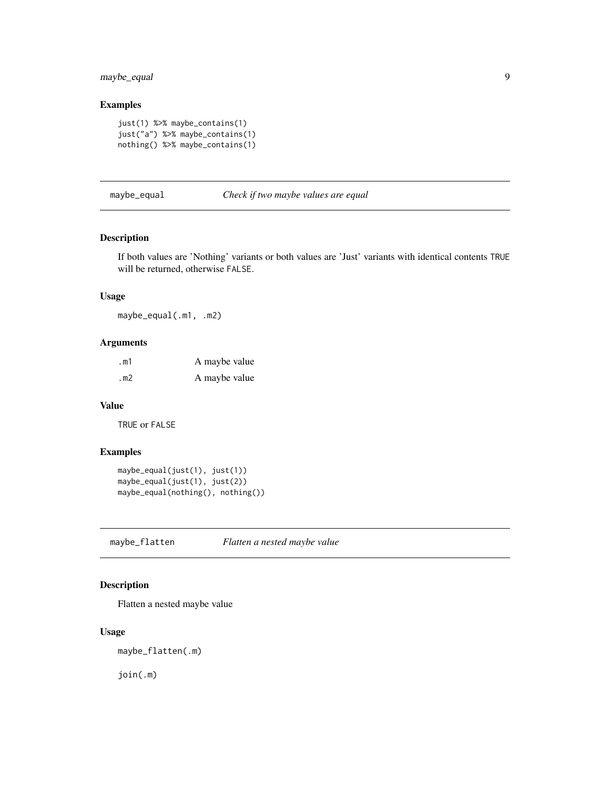## <span id="page-8-0"></span>maybe\_equal 9

## Examples

```
just(1) %>% maybe_contains(1)
just("a") %>% maybe_contains(1)
nothing() %>% maybe_contains(1)
```
maybe\_equal *Check if two maybe values are equal*

#### Description

If both values are 'Nothing' variants or both values are 'Just' variants with identical contents TRUE will be returned, otherwise FALSE.

#### Usage

maybe\_equal(.m1, .m2)

## Arguments

| . $m1$ | A maybe value |
|--------|---------------|
| . $m2$ | A maybe value |

#### Value

TRUE or FALSE

#### Examples

```
maybe_equal(just(1), just(1))
maybe_equal(just(1), just(2))
maybe_equal(nothing(), nothing())
```
maybe\_flatten *Flatten a nested maybe value*

#### Description

Flatten a nested maybe value

#### Usage

maybe\_flatten(.m)

join(.m)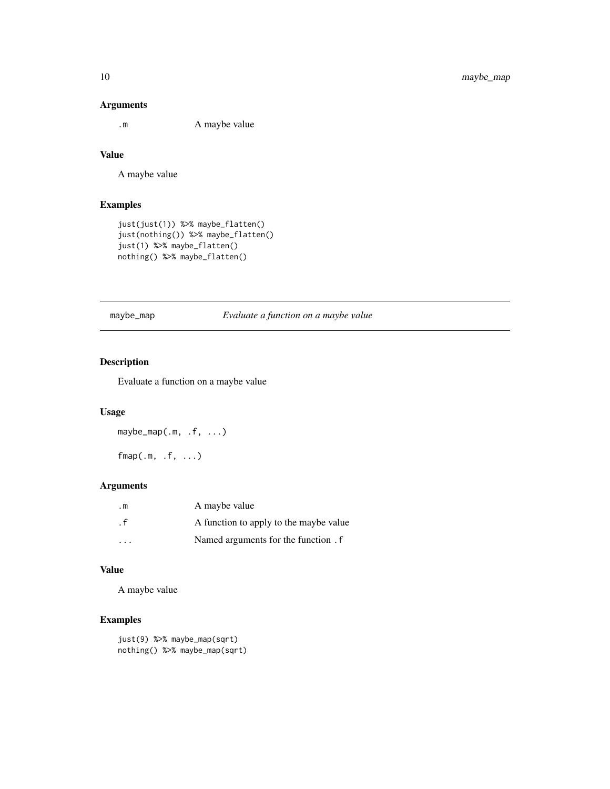#### Arguments

.m A maybe value

## Value

A maybe value

#### Examples

```
just(just(1)) %>% maybe_flatten()
just(nothing()) %>% maybe_flatten()
just(1) %>% maybe_flatten()
nothing() %>% maybe_flatten()
```
maybe\_map *Evaluate a function on a maybe value*

## Description

Evaluate a function on a maybe value

#### Usage

maybe\_map(.m, .f, ...)

 $fmap(.m, .f, . . .)$ 

#### Arguments

| . m                     | A maybe value                          |
|-------------------------|----------------------------------------|
| . f                     | A function to apply to the maybe value |
| $\cdot$ $\cdot$ $\cdot$ | Named arguments for the function . f   |

## Value

A maybe value

## Examples

```
just(9) %>% maybe_map(sqrt)
nothing() %>% maybe_map(sqrt)
```
<span id="page-9-0"></span>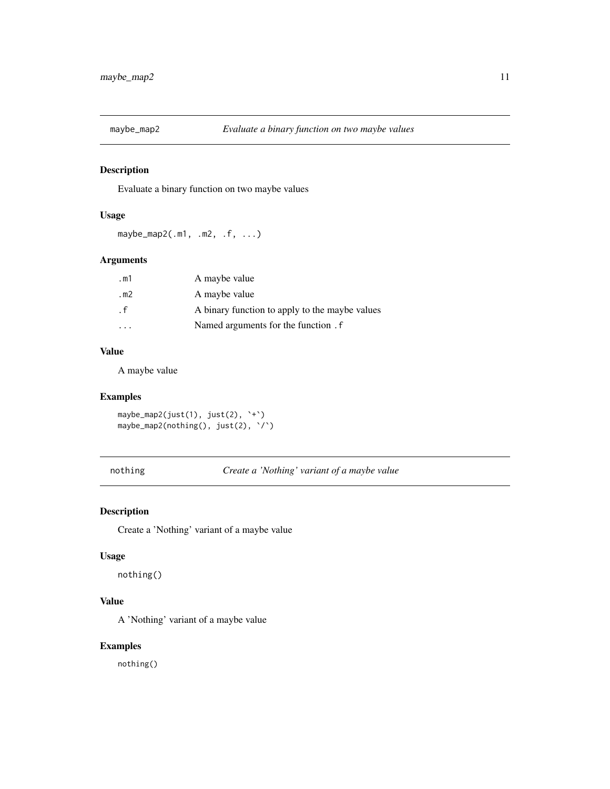<span id="page-10-0"></span>

Evaluate a binary function on two maybe values

#### Usage

maybe\_map2(.m1, .m2, .f, ...)

#### Arguments

| .m1    | A maybe value                                  |
|--------|------------------------------------------------|
| . $m2$ | A maybe value                                  |
| . f    | A binary function to apply to the maybe values |
|        | Named arguments for the function . f           |

## Value

A maybe value

## Examples

```
maybe_map2(just(1), just(2), `+`)
maybe_map2(nothing(), just(2), \')
```
nothing *Create a 'Nothing' variant of a maybe value*

## Description

Create a 'Nothing' variant of a maybe value

#### Usage

nothing()

## Value

A 'Nothing' variant of a maybe value

#### Examples

nothing()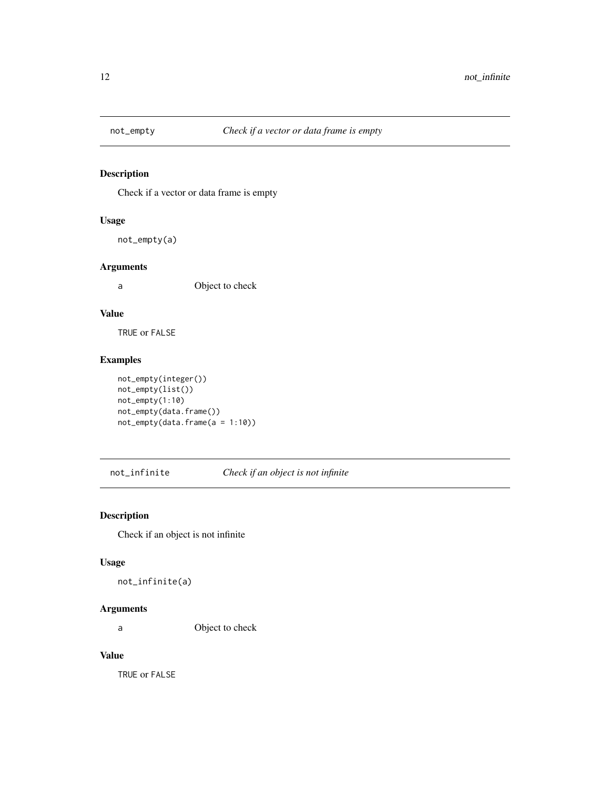<span id="page-11-0"></span>

Check if a vector or data frame is empty

## Usage

not\_empty(a)

#### Arguments

a Object to check

#### Value

TRUE or FALSE

## Examples

```
not_empty(integer())
not_empty(list())
not_empty(1:10)
not_empty(data.frame())
not_empty(data.frame(a = 1:10))
```
not\_infinite *Check if an object is not infinite*

## Description

Check if an object is not infinite

#### Usage

not\_infinite(a)

## Arguments

a Object to check

#### Value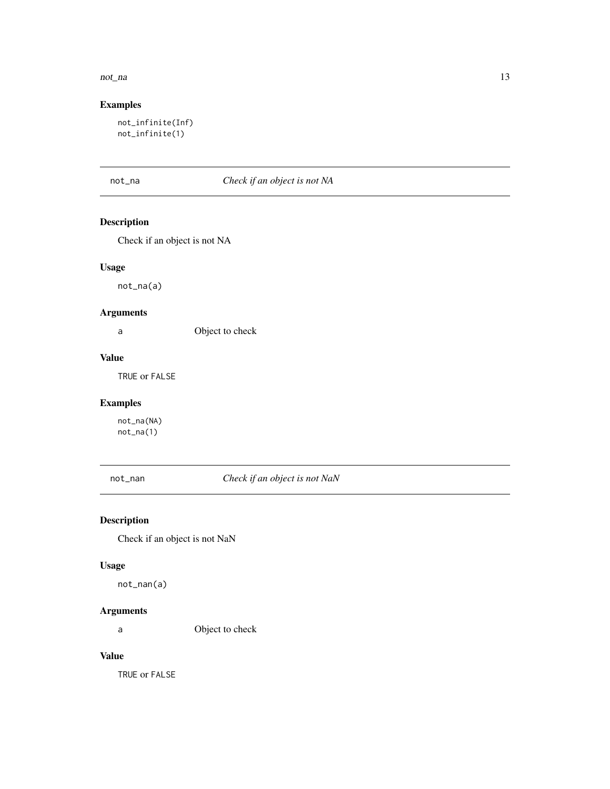#### <span id="page-12-0"></span>not\_na 2008 and 2008 and 2008 and 2008 and 2008 and 2008 and 2008 and 2008 and 2008 and 2008 and 2008 and 2008 and 2008 and 2008 and 2008 and 2008 and 2008 and 2008 and 2008 and 2008 and 2008 and 2008 and 2008 and 2008 and

## Examples

```
not_infinite(Inf)
not_infinite(1)
```
## not\_na *Check if an object is not NA*

## Description

Check if an object is not NA

#### Usage

not\_na(a)

#### Arguments

a Object to check

#### Value

TRUE or FALSE

#### Examples

not\_na(NA) not\_na(1)

not\_nan *Check if an object is not NaN*

## Description

Check if an object is not NaN

#### Usage

not\_nan(a)

#### Arguments

a Object to check

## Value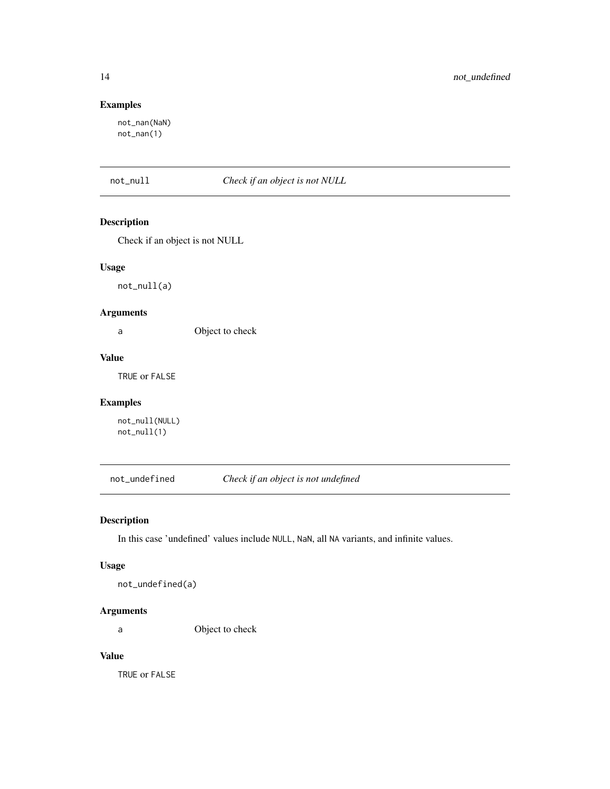## <span id="page-13-0"></span>Examples

not\_nan(NaN) not\_nan(1)

not\_null *Check if an object is not NULL*

## Description

Check if an object is not NULL

#### Usage

not\_null(a)

## Arguments

a Object to check

#### Value

TRUE or FALSE

#### Examples

not\_null(NULL) not\_null(1)

not\_undefined *Check if an object is not undefined*

## Description

In this case 'undefined' values include NULL, NaN, all NA variants, and infinite values.

#### Usage

not\_undefined(a)

#### Arguments

a Object to check

## Value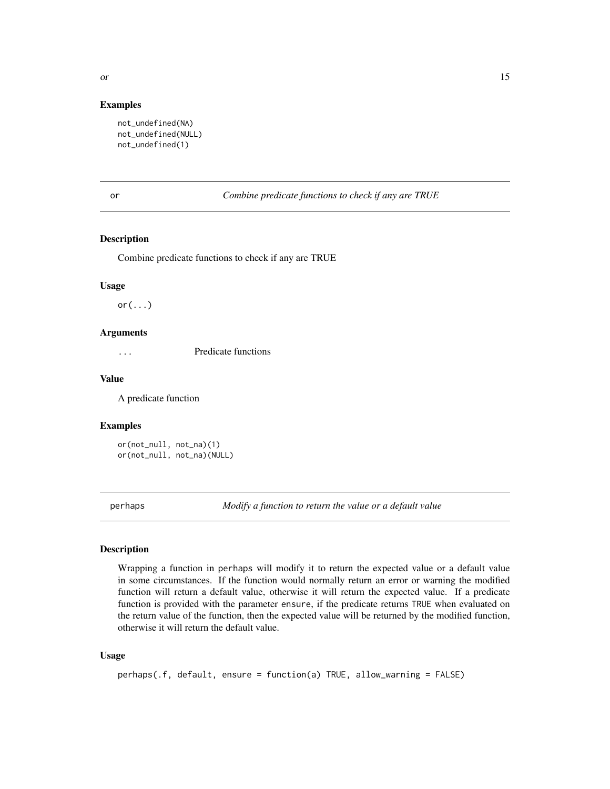#### <span id="page-14-0"></span>Examples

```
not_undefined(NA)
not_undefined(NULL)
not_undefined(1)
```
or *Combine predicate functions to check if any are TRUE*

#### Description

Combine predicate functions to check if any are TRUE

#### Usage

 $or(\ldots)$ 

#### Arguments

... Predicate functions

#### Value

A predicate function

#### Examples

or(not\_null, not\_na)(1) or(not\_null, not\_na)(NULL)

perhaps *Modify a function to return the value or a default value*

#### Description

Wrapping a function in perhaps will modify it to return the expected value or a default value in some circumstances. If the function would normally return an error or warning the modified function will return a default value, otherwise it will return the expected value. If a predicate function is provided with the parameter ensure, if the predicate returns TRUE when evaluated on the return value of the function, then the expected value will be returned by the modified function, otherwise it will return the default value.

#### Usage

```
perhaps(.f, default, ensure = function(a) TRUE, allow_warning = FALSE)
```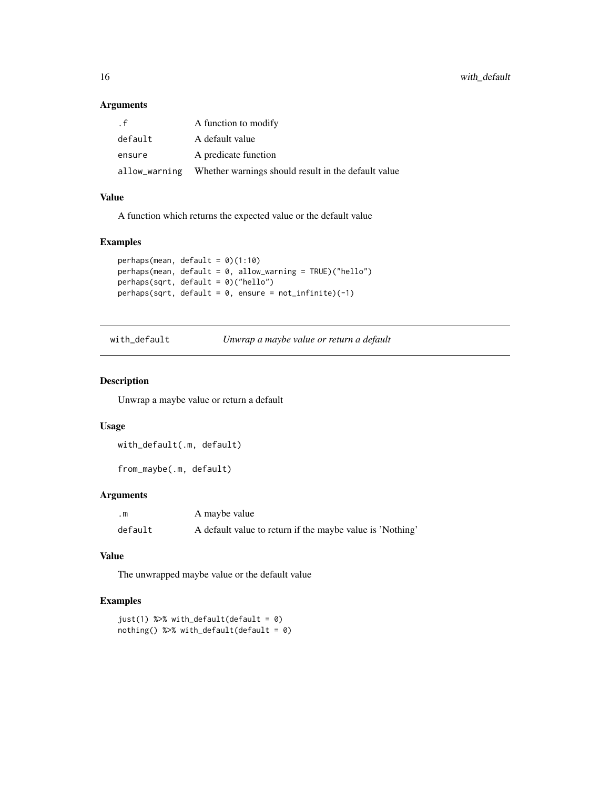#### <span id="page-15-0"></span>Arguments

| . f     | A function to modify                                              |
|---------|-------------------------------------------------------------------|
| default | A default value                                                   |
| ensure  | A predicate function                                              |
|         | allow_warning Whether warnings should result in the default value |

## Value

A function which returns the expected value or the default value

#### Examples

```
perhaps(mean, default = \theta)(1:10)
perhaps(mean, default = 0, allow_warning = TRUE)("hello")
perhaps(sqrt, default = 0)("hello")
perhaps(sqrt, default = 0, ensure = not_infinite)(-1)
```
with\_default *Unwrap a maybe value or return a default*

#### Description

Unwrap a maybe value or return a default

#### Usage

with\_default(.m, default)

from\_maybe(.m, default)

#### Arguments

| .m      | A maybe value                                             |
|---------|-----------------------------------------------------------|
| default | A default value to return if the maybe value is 'Nothing' |

#### Value

The unwrapped maybe value or the default value

#### Examples

```
just(1) %>% with_default(default = 0)
nothing() %>% with_default(default = 0)
```